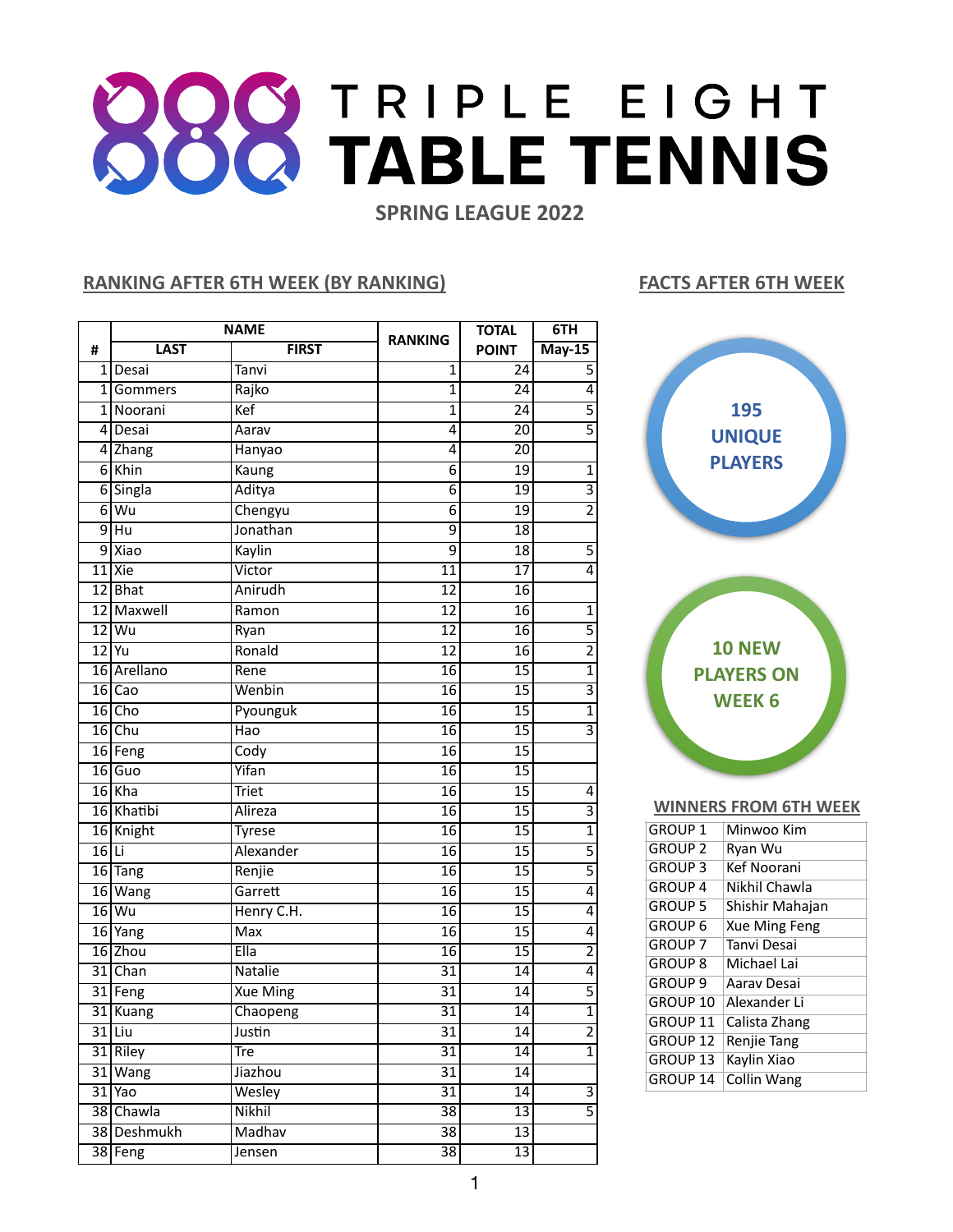## **BOOTRIPLE EIGHT SPRING LEAGUE 2022**

## **RANKING AFTER 6TH WEEK (BY RANKING) FACTS AFTER 6TH WEEK**

|         | <b>NAME</b>     |                 |                 | <b>TOTAL</b>    | 6TH                       |
|---------|-----------------|-----------------|-----------------|-----------------|---------------------------|
| #       | <b>LAST</b>     | <b>FIRST</b>    | <b>RANKING</b>  | <b>POINT</b>    | $May-15$                  |
|         | 1 Desai         | Tanvi           | 1               | 24              | $\overline{5}$            |
| 11      | Gommers         | Rajko           | $\overline{1}$  | 24              | 4                         |
|         | 1 Noorani       | Kef             | $\overline{1}$  | 24              | $\overline{5}$            |
|         | 4 Desai         | Aarav           | 4               | $\overline{20}$ | $\overline{5}$            |
|         | 4 Zhang         | Hanyao          | 4               | $\overline{20}$ |                           |
|         | $6$ Khin        | Kaung           | 6               | $\overline{19}$ | $\overline{1}$            |
|         | 6 Singla        | Aditya          | $\overline{6}$  | $\overline{19}$ | $\overline{\overline{3}}$ |
| 6 l     | Wu              | Chengyu         | 6               | 19              | $\overline{2}$            |
| 9       | $\overline{Hu}$ | Jonathan        | $\overline{9}$  | 18              |                           |
|         | $9$ Xiao        | Kaylin          | $\overline{9}$  | $\overline{18}$ | $\overline{5}$            |
|         | $11$ Xie        | Victor          | 11              | $\overline{17}$ | $\overline{4}$            |
|         | $12$ Bhat       | Anirudh         | $\overline{12}$ | $\overline{16}$ |                           |
|         | 12 Maxwell      | Ramon           | 12              | $\overline{16}$ | $\mathbf{1}$              |
|         | $12$ Wu         | Ryan            | $\overline{12}$ | $\overline{16}$ | $\overline{5}$            |
|         | $12$ Yu         | Ronald          | 12              | 16              | $\overline{2}$            |
|         | 16 Arellano     | Rene            | $\overline{16}$ | $\overline{15}$ | $\overline{1}$            |
|         | $16$ Cao        | Wenbin          | $\overline{16}$ | $\overline{15}$ | $\overline{3}$            |
|         | $16$ Cho        | Pyounguk        | $\overline{16}$ | $\overline{15}$ | $\overline{1}$            |
|         | $16$ Chu        | Hao             | $\overline{16}$ | $\overline{15}$ | $\overline{3}$            |
|         | 16 Feng         | Cody            | 16              | $\overline{15}$ |                           |
|         | $16$ Guo        | Yifan           | $\overline{16}$ | $\overline{15}$ |                           |
|         | $16$ Kha        | <b>Triet</b>    | 16              | $\overline{15}$ | 4                         |
|         | 16 Khatibi      | Alireza         | $\overline{16}$ | $\overline{15}$ | $\overline{3}$            |
|         | 16 Knight       | <b>Tyrese</b>   | $\overline{16}$ | $\overline{15}$ | $\overline{1}$            |
| $16$ Li |                 | Alexander       | 16              | $\overline{15}$ | $\overline{5}$            |
|         | 16 Tang         | Renjie          | $\overline{16}$ | $\overline{15}$ | $\overline{5}$            |
|         | 16 Wang         | Garrett         | $\overline{16}$ | $\overline{15}$ | $\overline{4}$            |
|         | $16$ Wu         | Henry C.H.      | 16              | 15              | $\overline{4}$            |
|         | $16$ Yang       | <b>Max</b>      | $\overline{16}$ | 15              | $\overline{4}$            |
|         | $16$ Zhou       | Ella            | 16              | $\overline{15}$ | $\overline{2}$            |
|         | 31 Chan         | Natalie         | $\overline{31}$ | 14              | $\overline{4}$            |
|         | 31 Feng         | <b>Xue Ming</b> | $\overline{31}$ | $\overline{14}$ | $\overline{5}$            |
|         | 31 Kuang        | Chaopeng        | $\overline{31}$ | $\overline{14}$ | $\overline{1}$            |
|         | $31$  Liu       | Justin          | $\overline{31}$ | 14              | $\overline{2}$            |
|         | 31 Riley        | Tre             | $\overline{31}$ | 14              | $\mathbf{1}$              |
|         | $31$ Wang       | Jiazhou         | $\overline{31}$ | 14              |                           |
|         | $31$ Yao        | Wesley          | $\overline{31}$ | 14              | $\overline{3}$            |
|         | 38 Chawla       | Nikhil          | $\overline{38}$ | $\overline{13}$ | $\overline{5}$            |
|         | 38 Deshmukh     | Madhav          | $\overline{38}$ | 13              |                           |
|         | 38 Feng         | Jensen          | $\overline{38}$ | $\overline{13}$ |                           |



GROUP 8 Michael Lai GROUP 9 Aarav Desai GROUP 10 Alexander Li GROUP 11 Calista Zhang

|          | GROUP 12   Renjie Tang |
|----------|------------------------|
| GROUP 13 | Kaylin Xiao            |
|          | GROUP 14 Collin Wang   |
|          |                        |
|          |                        |
|          |                        |
|          |                        |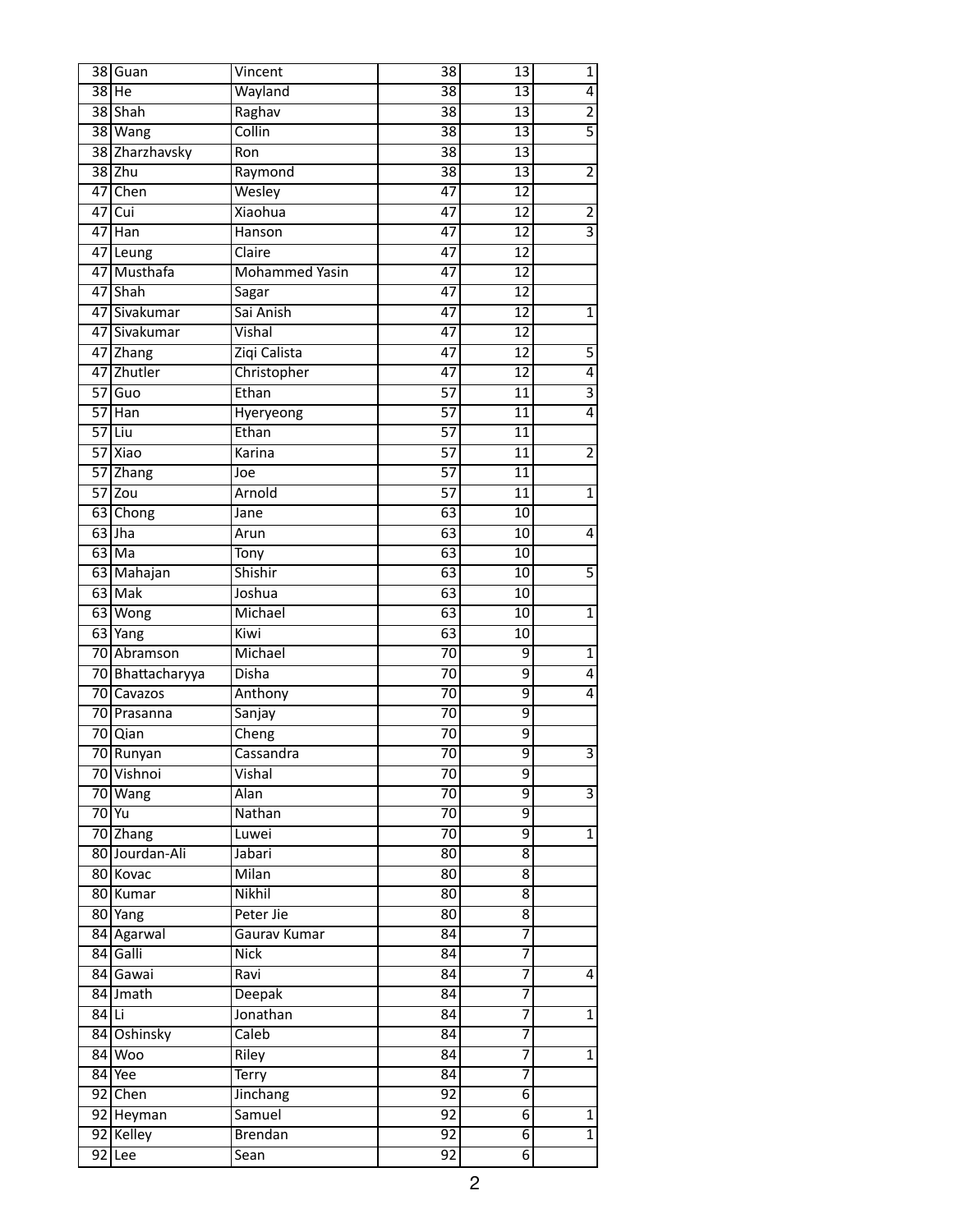| 38 Guan              | Vincent               | 38              | 13                      | $\overline{1}$ |
|----------------------|-----------------------|-----------------|-------------------------|----------------|
| $38$ He              | Wayland               | $\overline{38}$ | 13                      | 4              |
| 38 Shah              | Raghav                | $\overline{38}$ | $\overline{13}$         | $\overline{2}$ |
| 38 Wang              | Collin                | $\overline{38}$ | $\overline{13}$         | $\overline{5}$ |
| 38 Zharzhavsky       | Ron                   | $\overline{38}$ | 13                      |                |
| $38$ Zhu             | Raymond               | $\overline{38}$ | $\overline{13}$         | $\overline{2}$ |
| 47 Chen              | Wesley                | $\overline{47}$ | 12                      |                |
| $47$ Cui             | <b>Xiaohua</b>        | $\overline{47}$ | 12                      | $\overline{2}$ |
| $\overline{47 }$ Han | Hanson                | $\overline{47}$ | 12                      | $\overline{3}$ |
| 47 Leung             | Claire                | $\overline{47}$ | 12                      |                |
| 47 Musthafa          | <b>Mohammed Yasin</b> | $\overline{47}$ | $\overline{12}$         |                |
| 47 Shah              | Sagar                 | $\overline{47}$ | $\overline{12}$         |                |
| 47 Sivakumar         | Sai Anish             | $\overline{47}$ | 12                      | $\overline{1}$ |
| 47 Sivakumar         | Vishal                | $\overline{47}$ | $\overline{12}$         |                |
| 47 Zhang             | Ziqi Calista          | $\overline{47}$ | $\overline{12}$         | 5              |
| 47 Zhutler           | Christopher           | 47              | 12                      | $\overline{4}$ |
| $57$ Guo             | Ethan                 | $\overline{57}$ | 11                      | $\overline{3}$ |
| $57$ Han             | Hyeryeong             | $\overline{57}$ | $\overline{11}$         | 4              |
| $57$ Liu             | Ethan                 | $\overline{57}$ | $\overline{11}$         |                |
| 57 Xiao              | Karina                | $\overline{57}$ | 11                      | $\overline{2}$ |
| 57 Zhang             |                       | $\overline{57}$ | 11                      |                |
| $57$ Zou             | Joe<br>Arnold         | $\overline{57}$ | $\overline{11}$         | $\overline{1}$ |
|                      |                       | 63              | 10                      |                |
| 63 Chong<br>$63$ Jha | Jane                  | $\overline{63}$ |                         |                |
|                      | Arun                  |                 | $\overline{10}$         | $\overline{4}$ |
| $63$ Ma              | Tony                  | 63              | $\overline{10}$         |                |
| 63 Mahajan           | Shishir               | 63              | $\overline{10}$         | $\overline{5}$ |
| $63$ Mak             | Joshua                | $\overline{63}$ | $\overline{10}$         |                |
| $63$ Wong            | Michael               | 63              | 10                      | $\overline{1}$ |
| 63 Yang              | Kiwi                  | $\overline{63}$ | $\overline{10}$         |                |
| 70 Abramson          | Michael               | $\overline{70}$ | $\overline{9}$          | $\overline{1}$ |
| 70 Bhattacharyya     | Disha                 | $\overline{70}$ | 9                       | 4              |
| 70 Cavazos           | Anthony               | $\overline{70}$ | $\overline{9}$          | 4              |
| 70 Prasanna          | Sanjay                | $\overline{70}$ | $\overline{9}$          |                |
| 70 Qian              | Cheng                 | $\overline{70}$ | $\overline{9}$          |                |
| 70 Runyan            | Cassandra             | $\overline{70}$ | $\overline{9}$          | $\overline{3}$ |
| 70 Vishnoi           | Vishal                | $\overline{70}$ | 9                       |                |
| 70 Wang              | <b>Alan</b>           | $\overline{70}$ | $\overline{9}$          | $\overline{3}$ |
| $70$ Yu              | Nathan                | $\overline{70}$ | $\overline{9}$          |                |
| 70 Zhang             | Luwei                 | $\overline{70}$ | $\overline{9}$          | $\overline{1}$ |
| 80 Jourdan-Ali       | Jabari                | $\overline{80}$ | $\overline{\mathbf{8}}$ |                |
| 80 Kovac             | Milan                 | $\overline{80}$ | $\overline{8}$          |                |
| 80 Kumar             | <b>Nikhil</b>         | $\overline{80}$ | $\overline{8}$          |                |
| 80 Yang              | Peter Jie             | $\overline{80}$ | $\overline{8}$          |                |
| 84 Agarwal           | Gaurav Kumar          | 84              | 7                       |                |
| 84 Galli             | <b>Nick</b>           | $\overline{84}$ | 7                       |                |
| 84 Gawai             | Ravi                  | $\overline{84}$ | 7                       | $\overline{4}$ |
| 84 Jmath             | <b>Deepak</b>         | $\overline{84}$ | 7                       |                |
| 84 Li                | Jonathan              | $\overline{84}$ | 7                       | $\overline{1}$ |
| 84 Oshinsky          | Caleb                 | $\overline{84}$ | 7                       |                |
| $84$ Woo             | Riley                 | $\overline{84}$ | 7                       | $\overline{1}$ |
| $84$ Yee             | <b>Terry</b>          | 84              | 7                       |                |
| 92 Chen              | Jinchang              | $\overline{92}$ | $\overline{6}$          |                |
| 92 Heyman            | Samuel                | $\overline{92}$ | $\overline{6}$          | $\overline{1}$ |
| 92 Kelley            | <b>Brendan</b>        | 92              | $\overline{6}$          | $\overline{1}$ |
| $92$ Lee             | Sean                  | $\overline{92}$ | $\overline{6}$          |                |
|                      |                       |                 |                         |                |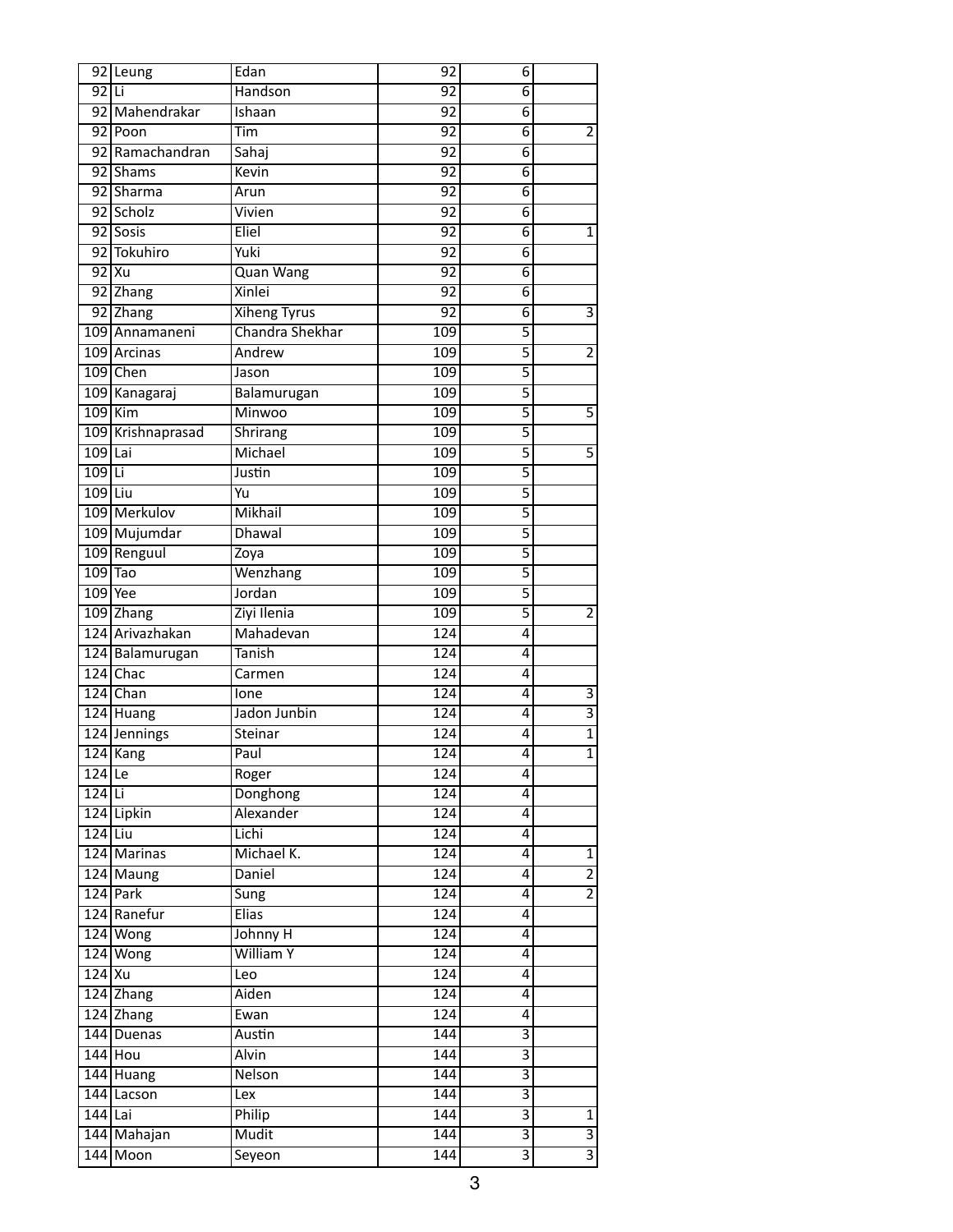|                      | 92 Leung                     | Edan                | 92               | 6                         |                                  |
|----------------------|------------------------------|---------------------|------------------|---------------------------|----------------------------------|
| 92 Li                |                              | Handson             | 92               | 6                         |                                  |
|                      | 92 Mahendrakar               | Ishaan              | $\overline{92}$  | 6                         |                                  |
|                      | 92 Poon                      | Tim                 | $\overline{92}$  | 6                         | $\overline{2}$                   |
|                      | 92 Ramachandran              | Sahaj               | 92               | 6                         |                                  |
|                      | 92 Shams                     | Kevin               | $\overline{92}$  | $\overline{6}$            |                                  |
|                      | 92 Sharma                    | Arun                | $\overline{92}$  | 6                         |                                  |
|                      | 92 Scholz                    | Vivien              | $\overline{92}$  | 6                         |                                  |
|                      | 92 Sosis                     | Eliel               | $\overline{92}$  | $\overline{6}$            | $\mathbf 1$                      |
|                      | 92 Tokuhiro                  | Yuki                | 92               | 6                         |                                  |
|                      | $92$ Xu                      | <b>Quan Wang</b>    | $\overline{92}$  | 6                         |                                  |
|                      | 92 Zhang                     | Xinlei              | 92               | 6                         |                                  |
|                      | 92 Zhang                     | <b>Xiheng Tyrus</b> | $\overline{92}$  | 6                         | 3                                |
|                      | 109 Annamaneni               | Chandra Shekhar     | 109              | $\overline{5}$            |                                  |
|                      | 109 Arcinas                  | Andrew              | 109              | 5                         | $\overline{2}$                   |
|                      | 109 Chen                     | Jason               | 109              | $\overline{5}$            |                                  |
|                      | 109 Kanagaraj                | Balamurugan         | 109              | 5                         |                                  |
|                      | $109$ Kim                    | Minwoo              | 109              | 5                         | 5                                |
|                      | 109 Krishnaprasad            | Shrirang            | 109              | $\overline{5}$            |                                  |
| $109$ Lai            |                              | Michael             | 109              | $\overline{5}$            | $\overline{5}$                   |
| $109$ Li             |                              | Justin              | 109              | $\overline{5}$            |                                  |
| $109$ Liu            |                              | Yu                  | 109              | 5                         |                                  |
|                      | 109 Merkulov                 | Mikhail             | 109              | 5                         |                                  |
|                      | 109 Mujumdar                 | <b>Dhawal</b>       | 109              | $\overline{5}$            |                                  |
|                      | 109 Renguul                  | Zoya                | 109              | 5                         |                                  |
|                      | $109$ Tao                    | Wenzhang            | 109              | $\overline{5}$            |                                  |
|                      | 109 Yee                      | Jordan              | 109              | $\overline{5}$            |                                  |
|                      | 109 Zhang                    | Ziyi Ilenia         | 109              | 5                         | $\overline{2}$                   |
|                      | 124 Arivazhakan              | Mahadevan           | 124              | 4                         |                                  |
|                      | 124 Balamurugan              | Tanish              | 124              | 4                         |                                  |
|                      | $124$ Chac                   | Carmen              | 124              | 4                         |                                  |
|                      | 124 Chan                     | lone                | 124              | 4                         | $\overline{3}$                   |
|                      | $124$ Huang                  | Jadon Junbin        | 124              | 4                         | $\overline{3}$                   |
|                      | 124 Jennings                 | Steinar             | 124              | 4                         | $\overline{1}$                   |
|                      | $\overline{124 \text{Kang}}$ | Paul                | 124              | 4                         | $\overline{1}$                   |
| $\overline{124}$  Le |                              | Roger               | 124              | 4                         |                                  |
| $124$ Li             |                              | Donghong            | $\overline{124}$ | 4                         |                                  |
|                      | 124 Lipkin                   | Alexander           | $\overline{124}$ | 4                         |                                  |
| $124$ Liu            |                              |                     | 124              | 4                         |                                  |
|                      |                              | Lichi<br>Michael K. |                  |                           |                                  |
|                      | 124 Marinas                  |                     | 124              | 4                         | $\overline{1}$<br>$\overline{2}$ |
|                      | 124 Maung                    | Daniel              | 124              | 4                         | $\overline{2}$                   |
|                      | 124 Park                     | <b>Sung</b>         | 124              | 4                         |                                  |
|                      | 124 Ranefur                  | <b>Elias</b>        | 124              | 4                         |                                  |
|                      | 124 Wong                     | Johnny H            | 124              | 4                         |                                  |
|                      | 124 Wong                     | <b>William Y</b>    | 124              | 4                         |                                  |
| $124$ Xu             |                              | Leo                 | 124              | 4                         |                                  |
|                      | 124 Zhang                    | Aiden               | 124              | 4                         |                                  |
|                      | 124 Zhang                    | Ewan                | 124              | 4                         |                                  |
|                      | 144 Duenas                   | Austin              | 144              | 3                         |                                  |
|                      | $144$ Hou                    | <b>Alvin</b>        | 144              | $\overline{\overline{3}}$ |                                  |
|                      | $144$ Huang                  | Nelson              | 144              | $\overline{\overline{3}}$ |                                  |
|                      | 144 Lacson                   | Lex                 | 144              | $\overline{\mathbf{3}}$   |                                  |
| $144$ Lai            |                              | Philip              | 144              | $\overline{\overline{3}}$ |                                  |
|                      | 144 Mahajan                  | Mudit               | 144              | $\overline{\mathbf{3}}$   | $\frac{1}{3}$                    |
|                      | 144 Moon                     | Seyeon              | 144              | $\overline{\overline{3}}$ |                                  |